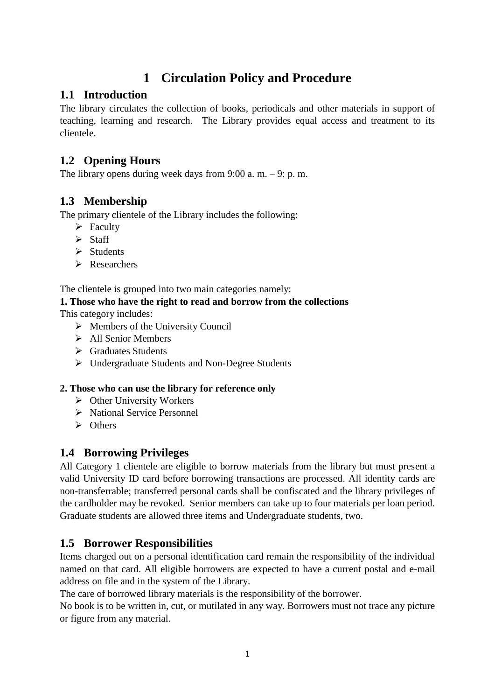# **1 Circulation Policy and Procedure**

### **1.1 Introduction**

The library circulates the collection of books, periodicals and other materials in support of teaching, learning and research. The Library provides equal access and treatment to its clientele.

# **1.2 Opening Hours**

The library opens during week days from  $9:00$  a. m.  $-9:$  p. m.

# **1.3 Membership**

The primary clientele of the Library includes the following:

- $\triangleright$  Faculty
- $\triangleright$  Staff
- $\triangleright$  Students
- **Researchers**

The clientele is grouped into two main categories namely:

### **1. Those who have the right to read and borrow from the collections**

This category includes:

- $\triangleright$  Members of the University Council
- $\triangleright$  All Senior Members
- Graduates Students
- Undergraduate Students and Non-Degree Students

#### **2. Those who can use the library for reference only**

- $\triangleright$  Other University Workers
- > National Service Personnel
- $\triangleright$  Others

### **1.4 Borrowing Privileges**

All Category 1 clientele are eligible to borrow materials from the library but must present a valid University ID card before borrowing transactions are processed. All identity cards are non-transferrable; transferred personal cards shall be confiscated and the library privileges of the cardholder may be revoked. Senior members can take up to four materials per loan period. Graduate students are allowed three items and Undergraduate students, two.

### **1.5 Borrower Responsibilities**

Items charged out on a personal identification card remain the responsibility of the individual named on that card. All eligible borrowers are expected to have a current postal and e-mail address on file and in the system of the Library.

The care of borrowed library materials is the responsibility of the borrower.

No book is to be written in, cut, or mutilated in any way. Borrowers must not trace any picture or figure from any material.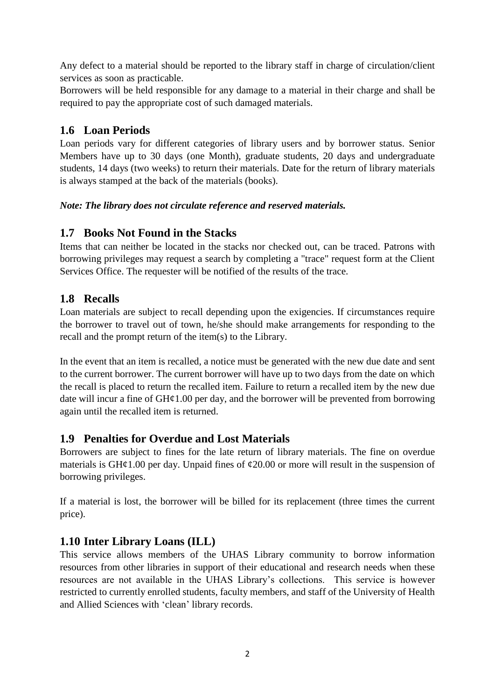Any defect to a material should be reported to the library staff in charge of circulation/client services as soon as practicable.

Borrowers will be held responsible for any damage to a material in their charge and shall be required to pay the appropriate cost of such damaged materials.

# **1.6 Loan Periods**

Loan periods vary for different categories of library users and by borrower status. Senior Members have up to 30 days (one Month), graduate students, 20 days and undergraduate students, 14 days (two weeks) to return their materials. Date for the return of library materials is always stamped at the back of the materials (books).

### *Note: The library does not circulate reference and reserved materials.*

### **1.7 Books Not Found in the Stacks**

Items that can neither be located in the stacks nor checked out, can be traced. Patrons with borrowing privileges may request a search by completing a "trace" request form at the Client Services Office. The requester will be notified of the results of the trace.

# **1.8 Recalls**

Loan materials are subject to recall depending upon the exigencies. If circumstances require the borrower to travel out of town, he/she should make arrangements for responding to the recall and the prompt return of the item(s) to the Library.

In the event that an item is recalled, a notice must be generated with the new due date and sent to the current borrower. The current borrower will have up to two days from the date on which the recall is placed to return the recalled item. Failure to return a recalled item by the new due date will incur a fine of  $GH\varphi1.00$  per day, and the borrower will be prevented from borrowing again until the recalled item is returned.

### **1.9 Penalties for Overdue and Lost Materials**

Borrowers are subject to fines for the late return of library materials. The fine on overdue materials is GH $\mathcal{L}1.00$  per day. Unpaid fines of  $\mathcal{L}20.00$  or more will result in the suspension of borrowing privileges.

If a material is lost, the borrower will be billed for its replacement (three times the current price).

# **1.10 Inter Library Loans (ILL)**

This service allows members of the UHAS Library community to borrow information resources from other libraries in support of their educational and research needs when these resources are not available in the UHAS Library's collections. This service is however restricted to currently enrolled students, faculty members, and staff of the University of Health and Allied Sciences with 'clean' library records.